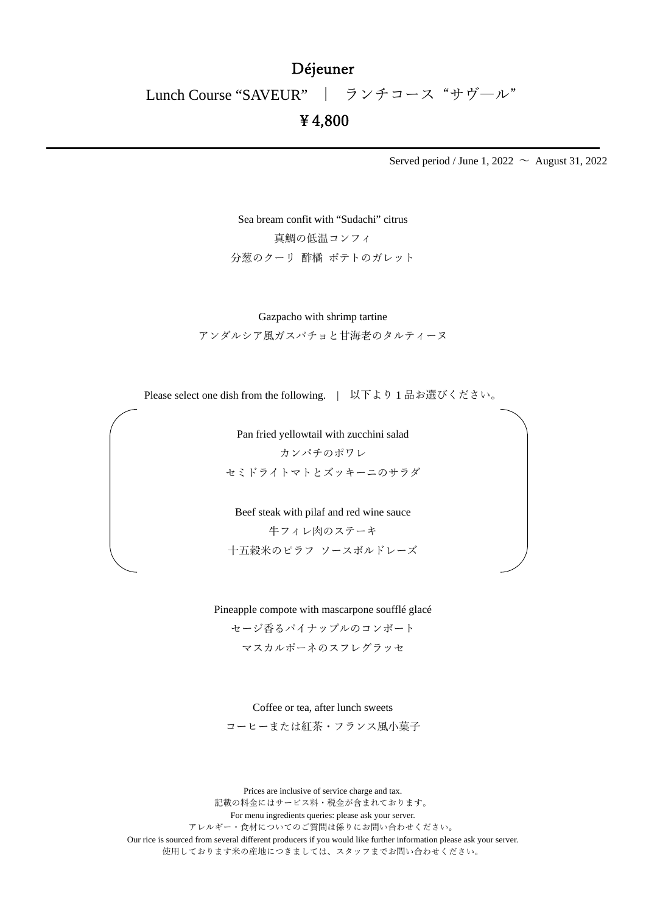## Déjeuner

Lunch Course "SAVEUR" | ランチコース "サヴ―ル"

## ¥4,800

Served period / June 1, 2022  $\sim$  August 31, 2022

Sea bream confit with "Sudachi" citrus 真鯛の低温コンフィ 分葱のクーリ 酢橘 ポテトのガレット

Gazpacho with shrimp tartine

アンダルシア風ガスパチョと甘海老のタルティーヌ

Please select one dish from the following. | 以下より1品お選びください。

Pan fried yellowtail with zucchini salad カンパチのポワレ セミドライトマトとズッキーニのサラダ

Beef steak with pilaf and red wine sauce 牛フィレ肉のステーキ 十五穀米のピラフ ソースボルドレーズ

Pineapple compote with mascarpone soufflé glacé

セージ香るパイナップルのコンポート マスカルポーネのスフレグラッセ

Coffee or tea, after lunch sweets

コーヒーまたは紅茶・フランス風小菓子

Prices are inclusive of service charge and tax. 記載の料金にはサービス料・税金が含まれております。 For menu ingredients queries: please ask your server. アレルギー・食材についてのご質問は係りにお問い合わせください。 Our rice is sourced from several different producers if you would like further information please ask your server. 使用しております米の産地につきましては、スタッフまでお問い合わせください。